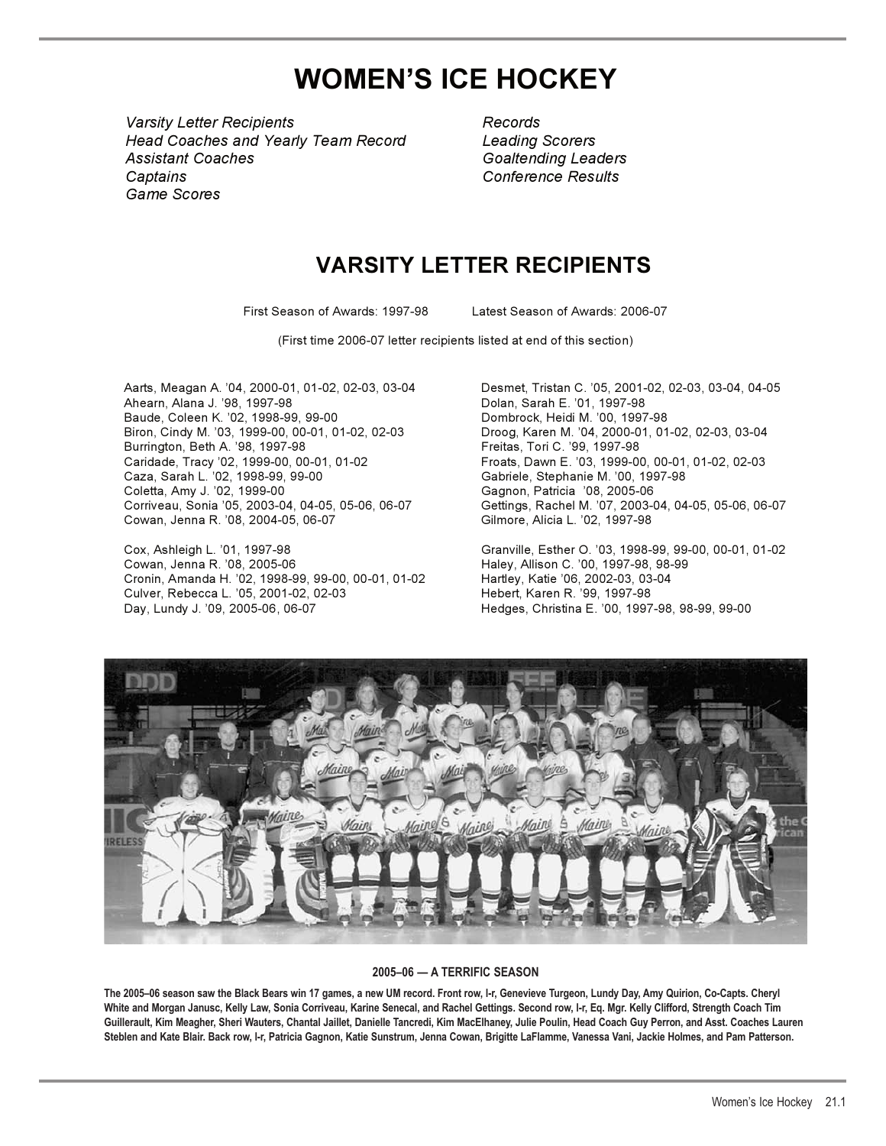# **WOMEN'S ICE HOCKEY**

*Varsity Letter Recipients Records Varsity Letter Recipients Head Coaches and Yearly Team Record Leading Scorers Head Coaches and Yearly Team Record Assistant Coaches Goaltending Leaders Goaltending Leaders Captains Conference Results Conference ResultsGame Scores Game Scores Assistant Coaches Captains* 

 *Records Leading Scorers*

# **VARSITY LETTER RECIPIENTS**

First Season of Awards: 1997-98 Latest Season of Awards: 2006-07

(First time 2006-07 letter recipients listed at end of this section)

Aarts, Meagan A. '04, 2000-01, 01-02, 02-03, 03-04 Desmet, Tristan C. '05, 2001-02, 02-03, 03-04, 04-05 Baude, Coleen K. '02, 1998-99, 99-00 Dombrock, Heidi M. '00, 1997-98 Biron, Cindy M. '03, 1999-00, 00-01, 01-02, 02-03 Droog, Karen M. '04, 2000-01, 01-02, 02-03, 03-04 Burrington, Beth A. '98, 1997-98 Freitas, Tori C. '99, 1997-98 Caridade, Tracy '02, 1999-00, 00-01, 01-02 Froats, Dawn E. '03, 1999-00, 00-01, 01-02, 02-03 Caza, Sarah L. '02, 1998-99, 99-00 Gabriele, Stephanie M. '00, 1997-98 Coletta, Amy J. '02, 1999-00 Gagnon, Patricia '08, 2005-06 Cowan, Jenna R. '08, 2004-05, 06-07

Cox, Ashleigh L. '01, 1997-98 Granville, Esther O. '03, 1998-99, 99-00, 00-01, 01-02 Cronin, Amanda H. '02, 1998-99, 99-00, 00-01, 01-02 Hartley, Katie '06, 2002-03, 03-04 Culver, Rebecca L. '05, 2001-02, 02-03 Day, Lundy J. '09, 2005-06 , 06-07 Hedges, Christina E. '00, 1997-98, 98-99, 99-00

Dolan, Sarah E. '01, 1997-98 Corriveau, Sonia '05, 2003-04, 04-05, 05-06, 06-07 Gettings, Rachel M. '07, 2003-04, 04-05, 05-06, 06-07

Haley, Allison C. '00, 1997-98, 98-99



## **2005–06 — A TERRIFIC SEASON**

**The 2005–06 season saw the Black Bears win 17 games, a new UM record. Front row, l-r, Genevieve Turgeon, Lundy Day, Amy Quirion, Co-Capts. Cheryl White and Morgan Janusc, Kelly Law, Sonia Corriveau, Karine Senecal, and Rachel Gettings. Second row, l-r, Eq. Mgr. Kelly Clifford, Strength Coach Tim Guillerault, Kim Meagher, Sheri Wauters, Chantal Jaillet, Danielle Tancredi, Kim MacElhaney, Julie Poulin, Head Coach Guy Perron, and Asst. Coaches Lauren Steblen and Kate Blair. Back row, l-r, Patricia Gagnon, Katie Sunstrum, Jenna Cowan, Brigitte LaFlamme, Vanessa Vani, Jackie Holmes, and Pam Patterson.**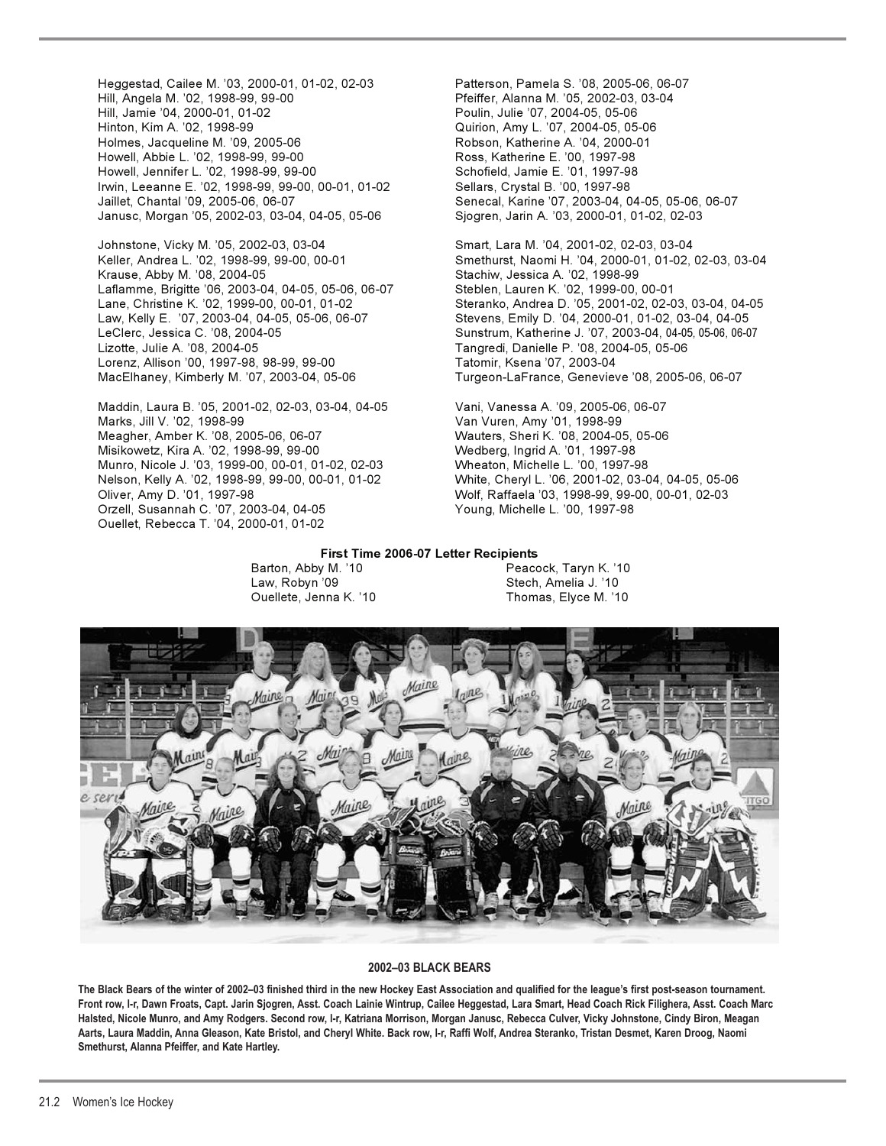Heggestad, Cailee M. '03, 2000-01, 01-02, 02-03 Patterson, Pamela S. '08, 2005-06, 06-07 Hill, Angela M. '02, 1998-99, 99-00 Pfeiffer, Alanna M. '05, 2002-03, 03-04 Hinton, Kim A. '02, 1998-99 Quirion, Amy L. '07, 2004-05, 05-06 Holmes, Jacqueline M. '09, 2005-06 Robson, Katherine A. '04, 2000-01 Howell, Abbie L. '02, 1998-99, 99-00 Howell, Jennifer L. '02, 1998-99, 99-00 Schofield, Jamie E. '01, 1997-98 Irwin, Leeanne E. '02, 1998-99, 99-00, 00-01, 01-02 Sellars, Crystal B. '00, 1997-98 Jaillet, Chantal '09, 2005-06, 06-07 Senecal, Karine '07, 2003-04, 04-05, 05-06, 06-07 Janusc, Morgan '05, 2002-03, 03-04, 04-05, 05-06 Sjogren, Jarin A. '03, 2000-01, 01-02, 02-03

Johnstone, Vicky M. '05, 2002-03, 03-04 Smart, Lara M. '04, 2001-02, 02-03, 03-04 Krause, Abby M. '08, 2004-05 Stachiw, Jessica A. '02, 1998-99 Laflamme, Brigitte '06, 2003-04, 04-05, 05-06, 06-07 Steblen, Lauren K. '02, 1999-00, 00-01 Law, Kelly E. '07, 2003-04, 04-05, 05-06, 06-07 Stevens, Emily D. '04, 2000-01, 01-02, 03-04, 04-05 Lizotte, Julie A. '08, 2004-05 Tangredi, Danielle P. '08, 2004-05, 05-06 Lorenz, Allison '00, 1997-98, 98-99, 99-00 Tatomir, Ksena '07, 2003-04 MacElhaney, Kimberly M. '07, 2003-04, 05-06 Turgeon-LaFrance, Genevieve '08, 2005-06, 06-07

Maddin, Laura B. '05, 2001-02, 02-03, 03-04, 04-05 Vani, Vanessa A. '09, 2005-06, 06-07<br>Marks, Jill V. '02, 1998-99 Meagher, Amber K. '08, 2005-06, 06-07 Wauters, Sheri K. '08, 2004-05, 05-06 Misikowetz, Kira A. '02, 1998-99, 99-00 Wedberg, Ingrid A. '01, 1997-98 Munro, Nicole J. '03, 1999-00, 00-01, 01-02, 02-03 Wheaton, Michelle L. '00, 1997-98 Oliver, Amy D. '01, 1997-98 Wolf, Raffaela '03, 1998-99, 99-00, 00-01, 02-03 Orzell, Susannah C. '07, 2003-04, 04-05 Young, Michelle L. '00, 1997-98 Ouellet, Rebecca T. '04, 2000-01, 01-02

Poulin, Julie '07, 2004-05, 05-06

Keller, Andrea L. '02, 1998-99, 99-00, 00-01 Smethurst, Naomi H. '04, 2000-01, 01-02, 02-03, 03-04 Lane, Christine K. '02, 1999-00, 00-01, 01-02 Steranko, Andrea D. '05, 2001-02, 02-03, 03-04, 04-05 Sunstrum, Katherine J. '07, 2003-04, 04-05, 05-06, 06-07

> Van Vuren, Amy '01, 1998-99 White, Cheryl L. '06, 2001-02, 03-04, 04-05, 05-06

### **First Time 2006-07 Letter Recipients**

Barton, Abby M. '10 **Peacock, Taryn K. '10**  Law, Robyn '09 Stech, Amelia J. '10 Ouellete, Jenna K. '10



## **2002–03 BLACK BEARS**

**The Black Bears of the winter of 2002–03 finished third in the new Hockey East Association and qualified for the league's first post-season tournament. Front row, l-r, Dawn Froats, Capt. Jarin Sjogren, Asst. Coach Lainie Wintrup, Cailee Heggestad, Lara Smart, Head Coach Rick Filighera, Asst. Coach Marc Halsted, Nicole Munro, and Amy Rodgers. Second row, l-r, Katriana Morrison, Morgan Janusc, Rebecca Culver, Vicky Johnstone, Cindy Biron, Meagan Aarts, Laura Maddin, Anna Gleason, Kate Bristol, and Cheryl White. Back row, l-r, Raffi Wolf, Andrea Steranko, Tristan Desmet, Karen Droog, Naomi Smethurst, Alanna Pfeiffer, and Kate Hartley.**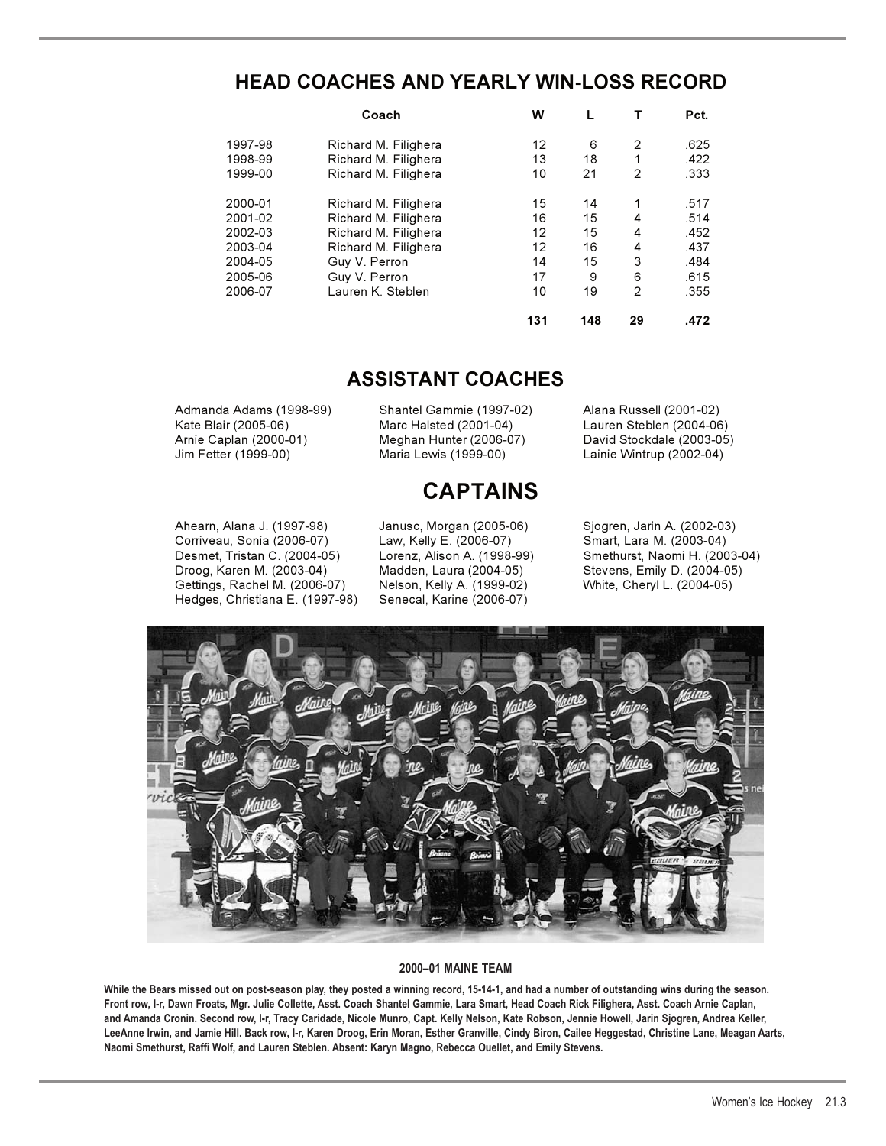# **HEAD COACHES AND YEARLY WIN-LOSS RECORD**

|         | Coach                | w   |     |                | Pct. |
|---------|----------------------|-----|-----|----------------|------|
| 1997-98 | Richard M. Filighera | 12  | 6   | 2              | .625 |
| 1998-99 | Richard M. Filighera | 13  | 18  | 1              | .422 |
| 1999-00 | Richard M. Filighera | 10  | 21  | 2              | .333 |
| 2000-01 | Richard M. Filighera | 15  | 14  |                | .517 |
| 2001-02 | Richard M. Filighera | 16  | 15  | 4              | .514 |
| 2002-03 | Richard M. Filighera | 12  | 15  | 4              | .452 |
| 2003-04 | Richard M. Filighera | 12  | 16  | 4              | .437 |
| 2004-05 | Guy V. Perron        | 14  | 15  | 3              | .484 |
| 2005-06 | Guy V. Perron        | 17  | 9   | 6              | .615 |
| 2006-07 | Lauren K. Steblen    | 10  | 19  | $\overline{2}$ | .355 |
|         |                      | 131 | 148 | 29             | .472 |

# **ASSISTANT COACHES**

Admanda Adams (1998-99) Shantel Gammie (1997-02) Alana Russell (2001-02) Kate Blair (2005-06) Marc Halsted (2001-04) Lauren Steblen (2004-06) Arnie Caplan (2000-01) Meghan Hunter (2006-07) David Stockdale (2003-05) Jim Fetter (1999-00) Maria Lewis (1999-00) Lainie Wintrup (2002-04)

# **CAPTAINS**

Corriveau, Sonia (2006-07) Law, Kelly E. (2006-07) Smart, Lara M. (2003-04) Droog, Karen M. (2003-04) Madden, Laura (2004-05) Stevens, Emily D. (2004-05) Gettings, Rachel M. (2006-07) Hedges, Christiana E. (1997-98) Senecal, Karine (2006-07)

Ahearn, Alana J. (1997-98) Janusc, Morgan (2005-06) Sjogren, Jarin A. (2002-03) Smethurst, Naomi H. (2003-04)



## **2000–01 MAINE TEAM**

**While the Bears missed out on post-season play, they posted a winning record, 15-14-1, and had a number of outstanding wins during the season. Front row, l-r, Dawn Froats, Mgr. Julie Collette, Asst. Coach Shantel Gammie, Lara Smart, Head Coach Rick Filighera, Asst. Coach Arnie Caplan, and Amanda Cronin. Second row, l-r, Tracy Caridade, Nicole Munro, Capt. Kelly Nelson, Kate Robson, Jennie Howell, Jarin Sjogren, Andrea Keller, LeeAnne Irwin, and Jamie Hill. Back row, l-r, Karen Droog, Erin Moran, Esther Granville, Cindy Biron, Cailee Heggestad, Christine Lane, Meagan Aarts, Naomi Smethurst, Raffi Wolf, and Lauren Steblen. Absent: Karyn Magno, Rebecca Ouellet, and Emily Stevens.**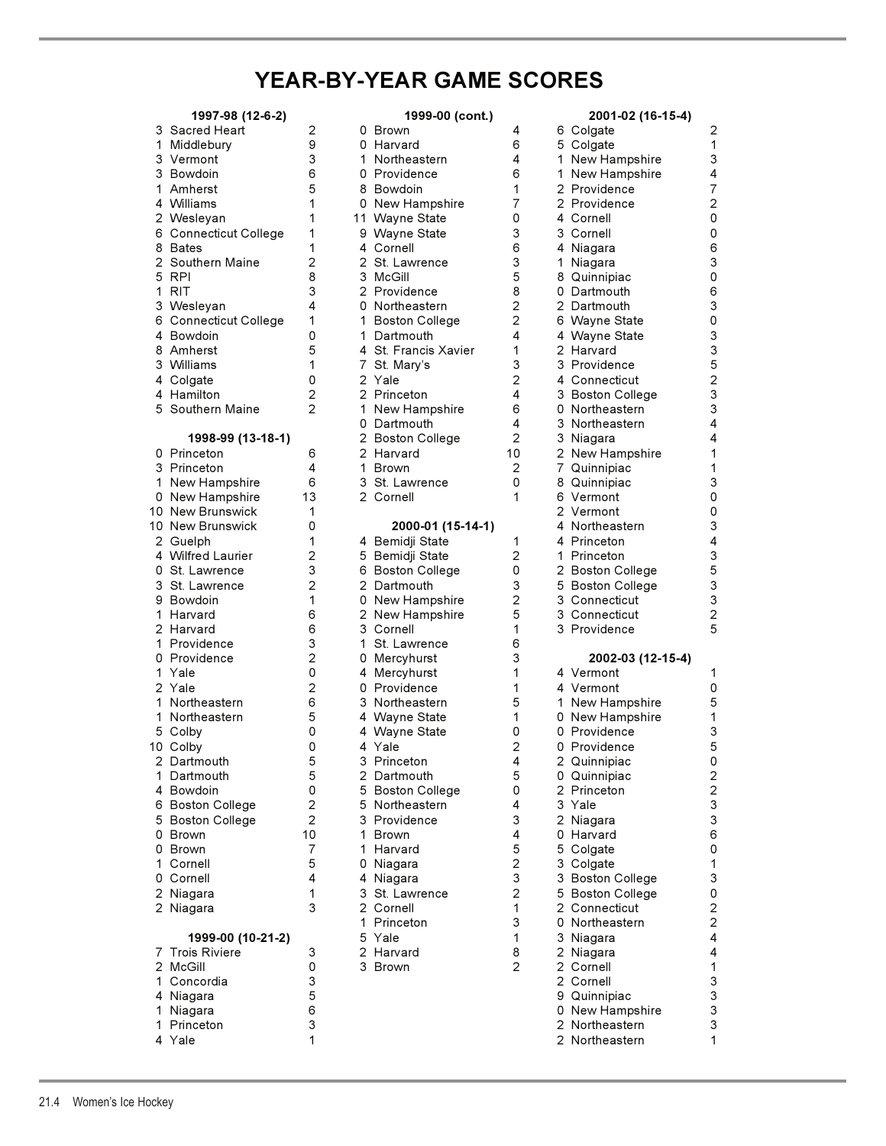# **YEAR-BY-YEAR GAME SCORES**

| 3<br>1<br>3<br>3<br>1<br>4<br>2<br>6<br>8<br>$\overline{2}$<br>5<br>1<br>3<br>6<br>4<br>8<br>3<br>4<br>4<br>5                 | 1997-98 (12-6-2)<br>Sacred Heart<br>Middlebury<br>Vermont<br>Bowdoin<br>Amherst<br>Williams<br>Wesleyan<br>Connecticut College<br>Bates<br>Southern Maine<br>RPI<br><b>RIT</b><br>Wesleyan<br>Connecticut College<br>Bowdoin<br>Amherst<br>Williams<br>Colgate<br>Hamilton<br>Southern Maine |   |
|-------------------------------------------------------------------------------------------------------------------------------|----------------------------------------------------------------------------------------------------------------------------------------------------------------------------------------------------------------------------------------------------------------------------------------------|---|
| 0<br>3<br>1<br>0<br>10<br>10<br>2<br>4<br>0<br>3<br>9<br>$\mathbf{1}$<br>$\overline{c}$<br>1<br>0<br>1<br>$\overline{2}$<br>1 | 1998-99 (13-18-1)<br>Princeton<br>Princeton<br><b>New Hampshire</b><br>New Hampshire<br>New Brunswick<br>New Brunswick<br>Guelph<br><b>Wilfred Laurier</b><br>St. Lawrence<br>St. Lawrence<br>Bowdoin<br>Harvard<br>Harvard<br>Providence<br>Providence<br>Yale<br>Yale<br>Northeastern      | 1 |
| 1<br>5<br>10<br>$\overline{c}$<br>1<br>4<br>6<br>5<br>0<br>0<br>1<br>0<br>$\overline{c}$<br>$\overline{2}$                    | Northeastern<br>Colby<br>Colby<br>Dartmouth<br>Dartmouth<br>Bowdoin<br><b>Boston College</b><br><b>Boston College</b><br>Brown<br><b>Brown</b><br>Cornell<br>Cornell<br>Niagara<br>Niagara                                                                                                   | 1 |
| 7<br>2<br>1<br>4<br>1<br>1<br>4                                                                                               | 1999-00 (10-21-2)<br><b>Trois Riviere</b><br>McGill<br>Concordia<br>Niagara<br>Niagara<br>Princeton<br>Yale                                                                                                                                                                                  |   |

|    | 1997-98 (12-6-2)                     |                |    | 1999-00 (cont.)                 |                                  |    | 2001-02 (16-15-4)                 |
|----|--------------------------------------|----------------|----|---------------------------------|----------------------------------|----|-----------------------------------|
|    | 3 Sacred Heart                       | 2              |    | 0 Brown                         | 4                                |    | 6 Colgate                         |
| 1. | Middlebury                           | 9              |    | 0 Harvard                       | 6                                |    | 5 Colgate                         |
|    | 3 Vermont                            | 3              |    | 1 Northeastern                  | 4                                |    | 1 New Hampshire                   |
|    | 3 Bowdoin                            | 6              |    | 0 Providence                    | 6                                | 1. | New Hampshire                     |
|    | 1 Amherst                            | 5              |    | 8 Bowdoin                       | 1                                |    | 2 Providence                      |
|    | 4 Williams                           | 1              |    | 0 New Hampshire                 | 7                                |    | 2 Providence                      |
|    | 2 Wesleyan                           | 1              |    | 11 Wayne State                  | 0                                |    | 4 Cornell                         |
|    | 6 Connecticut College                | 1              |    | 9 Wayne State                   | 3                                |    | 3 Cornell                         |
|    | 8 Bates                              | 1              |    | 4 Cornell                       | 6                                |    | 4 Niagara                         |
|    | 2  Southern Maine                    | $\overline{2}$ |    | 2 St. Lawrence                  | 3                                |    | 1 Niagara                         |
|    | 5 RPI                                | 8              |    | 3 McGill                        | 5                                |    | 8 Quinnipiac                      |
|    | 1 RIT                                | 3              |    | 2 Providence                    | 8                                |    | 0 Dartmouth                       |
|    | 3 Wesleyan                           | 4              |    | 0 Northeastern                  | $\overline{c}$<br>$\overline{c}$ |    | 2 Dartmouth                       |
|    | 6 Connecticut College                | 1<br>0         |    | 1 Boston College<br>1 Dartmouth | 4                                |    | 6 Wayne State                     |
|    | 4 Bowdoin<br>8 Amherst               | 5              |    | 4 St. Francis Xavier            | 1                                |    | 4 Wayne State<br>2 Harvard        |
|    | 3 Williams                           | 1              |    |                                 | 3                                |    | 3 Providence                      |
|    | 4 Colgate                            | 0              |    | 7 St. Mary's<br>2 Yale          | 2                                |    | 4 Connecticut                     |
|    | 4 Hamilton                           | $\overline{2}$ |    | 2 Princeton                     | 4                                |    | 3 Boston College                  |
|    | 5 Southern Maine                     | $\overline{2}$ |    | 1 New Hampshire                 | 6                                |    | 0 Northeastern                    |
|    |                                      |                |    | 0 Dartmouth                     | 4                                |    | 3 Northeastern                    |
|    | 1998-99 (13-18-1)                    |                |    | 2 Boston College                | 2                                |    | 3 Niagara                         |
|    | 0 Princeton                          | 6              |    | 2 Harvard                       | 10                               |    | 2 New Hampshire                   |
|    | 3 Princeton                          | 4              |    | 1 Brown                         | 2                                |    | 7 Quinnipiac                      |
|    | 1 New Hampshire                      | 6              |    | 3 St. Lawrence                  | 0                                |    | 8 Quinnipiac                      |
|    | 0 New Hampshire                      | 13             |    | 2 Cornell                       | 1                                |    | 6 Vermont                         |
|    | 10 New Brunswick                     | 1              |    |                                 |                                  |    | 2 Vermont                         |
|    | 10 New Brunswick                     | 0              |    | 2000-01 (15-14-1)               |                                  |    | 4 Northeastern                    |
|    | 2 Guelph                             | 1              |    | 4 Bemidji State                 | 1                                |    | 4 Princeton                       |
|    | 4 Wilfred Laurier                    | 2              |    | 5 Bemidji State                 | 2                                |    | 1 Princeton                       |
|    | 0 St. Lawrence                       | 3              |    | 6 Boston College                | 0                                |    | 2 Boston College                  |
|    | 3 St. Lawrence                       | 2              |    | 2 Dartmouth                     | 3                                |    | 5 Boston College                  |
|    | 9 Bowdoin                            | 1              |    | 0 New Hampshire                 | $\overline{c}$                   |    | 3 Connecticut                     |
|    | 1 Harvard                            | 6              |    | 2 New Hampshire                 | 5                                |    | 3 Connecticut                     |
|    | 2 Harvard                            | 6              |    | 3 Cornell                       | 1                                |    | 3 Providence                      |
|    | 1 Providence                         | 3              |    | 1 St. Lawrence                  | 6                                |    |                                   |
|    | 0 Providence                         | 2              |    | 0 Mercyhurst                    | 3                                |    | 2002-03 (12-15-4)                 |
|    | 1 Yale                               | 0              |    | 4 Mercyhurst                    | 1                                |    | 4 Vermont                         |
|    | 2 Yale                               | 2              |    | 0 Providence                    | 1                                |    | 4 Vermont                         |
|    | 1 Northeastern                       | 6              |    | 3 Northeastern                  | 5                                |    | 1 New Hampshire                   |
|    | 1 Northeastern                       | 5              |    | 4 Wayne State                   | 1                                |    | 0 New Hampshire                   |
|    | 5 Colby                              | 0              |    | 4 Wayne State                   | 0                                |    | 0 Providence                      |
|    | 10 Colby                             | 0              |    | 4 Yale                          | $\overline{2}$                   |    | 0 Providence                      |
|    | 2 Dartmouth                          | 5              |    | 3 Princeton                     | 4                                |    | 2 Quinnipiac                      |
|    | 1 Dartmouth                          | 5              |    | 2 Dartmouth                     | 5                                |    | 0 Quinnipiac                      |
|    | 4 Bowdoin                            | 0              |    | 5 Boston College                | 0                                |    | 2 Princeton                       |
|    | 6 Boston College                     | 2              |    | 5 Northeastern                  | 4                                |    | 3 Yale                            |
|    | 5 Boston College                     | 2              |    | 3 Providence                    | 3                                |    | 2 Niagara                         |
|    | 0 Brown                              | 10             | 1. | <b>Brown</b>                    | 4                                |    | 0 Harvard                         |
|    | 0 Brown                              | 7              |    | 1 Harvard                       | 5                                |    | 5 Colgate                         |
|    | 1 Cornell                            | 5              |    | 0 Niagara                       | 2                                |    | 3 Colgate                         |
|    | 0 Cornell                            | 4              |    | 4 Niagara                       | 3                                |    | 3 Boston College                  |
|    | 2 Niagara                            | 1              |    | 3 St. Lawrence                  | 2                                |    | 5 Boston College<br>2 Connecticut |
|    | 2 Niagara                            | 3              | 1. | 2 Cornell<br>Princeton          | 1<br>3                           |    | 0 Northeastern                    |
|    |                                      |                |    | 5 Yale                          |                                  |    |                                   |
|    | 1999-00 (10-21-2)<br>7 Trois Riviere | 3              |    | 2 Harvard                       | 1<br>8                           |    | 3 Niagara                         |
|    | 2 McGill                             | 0              |    | 3 Brown                         | 2                                |    | 2 Niagara<br>2 Cornell            |
|    | 1 Concordia                          | 3              |    |                                 |                                  |    | 2 Cornell                         |
|    | 4 Niagara                            | 5              |    |                                 |                                  |    | 9 Quinnipiac                      |
| 1. | Niagara                              | 6              |    |                                 |                                  |    | 0 New Hampshire                   |
| 1. | Princeton                            | 3              |    |                                 |                                  |    | 2 Northeastern                    |
|    | 4 Yale                               | 1              |    |                                 |                                  |    | 2 Northeastern                    |
|    |                                      |                |    |                                 |                                  |    |                                   |

|    | 1997-98 (12-6-2)                    |                     |   | 1999-00 (cont.)                 |                     |   | 2001-02 (16-15-4)                  |                         |
|----|-------------------------------------|---------------------|---|---------------------------------|---------------------|---|------------------------------------|-------------------------|
|    | 3 Sacred Heart                      | 2                   |   | 0 Brown                         | 4                   |   | 6 Colgate                          | 2                       |
|    | 1 Middlebury                        | 9                   |   | 0 Harvard                       | 6                   |   | 5 Colgate                          | $\mathbf{1}$            |
|    | 3 Vermont                           | 3                   |   | 1 Northeastern                  | 4                   |   | 1 New Hampshire                    | 3                       |
|    | 3 Bowdoin                           | 6                   |   | 0 Providence                    | 6                   |   | 1 New Hampshire                    | 4                       |
|    | 1 Amherst                           | 5                   |   | 8 Bowdoin                       | 1                   |   | 2 Providence                       | $\overline{7}$          |
|    | 4 Williams                          | 1<br>1              |   | 0 New Hampshire                 | 7<br>0              |   | 2 Providence                       | $\overline{c}$<br>0     |
|    | 2 Wesleyan<br>6 Connecticut College | 1                   |   | 11 Wayne State<br>9 Wayne State | 3                   |   | 4 Cornell<br>3 Cornell             | 0                       |
|    | 8 Bates                             | 1                   |   | 4 Cornell                       | 6                   |   | 4 Niagara                          | 6                       |
|    | 2  Southern Maine                   | $\overline{2}$      |   | 2 St. Lawrence                  | 3                   | 1 | Niagara                            | 3                       |
|    | 5 RPI                               | 8                   |   | 3 McGill                        | 5                   |   | 8 Quinnipiac                       | $\mathsf 0$             |
|    | 1 RIT                               | 3                   |   | 2 Providence                    | 8                   |   | 0 Dartmouth                        | 6                       |
|    | 3 Wesleyan                          | 4                   |   | 0 Northeastern                  | $\overline{c}$      |   | 2 Dartmouth                        | 3                       |
|    | 6 Connecticut College               | 1                   |   | 1 Boston College                | 2                   |   | 6 Wayne State                      | 0                       |
|    | 4 Bowdoin                           | 0                   |   | 1 Dartmouth                     | 4                   |   | 4 Wayne State                      | 3                       |
|    | 8 Amherst                           | 5                   |   | 4 St. Francis Xavier            | 1                   |   | 2 Harvard                          | 3                       |
|    | 3 Williams                          | 1                   |   | 7 St. Mary's                    | 3                   |   | 3 Providence                       | 5                       |
|    | 4 Colgate                           | 0                   |   | 2 Yale                          | $\overline{2}$<br>4 |   | 4 Connecticut                      | $\overline{c}$<br>3     |
|    | 4 Hamilton<br>5 Southern Maine      | $\overline{c}$<br>2 |   | 2 Princeton<br>1 New Hampshire  | 6                   |   | 3 Boston College<br>0 Northeastern | 3                       |
|    |                                     |                     |   | 0 Dartmouth                     | 4                   |   | 3 Northeastern                     | 4                       |
|    | 1998-99 (13-18-1)                   |                     |   | 2 Boston College                | $\overline{2}$      |   | 3 Niagara                          | 4                       |
|    | 0 Princeton                         | 6                   |   | 2 Harvard                       | 10                  |   | 2 New Hampshire                    | 1                       |
|    | 3 Princeton                         | 4                   |   | 1 Brown                         | 2                   |   | 7 Quinnipiac                       | 1                       |
|    | 1 New Hampshire                     | 6                   |   | 3 St. Lawrence                  | 0                   |   | 8 Quinnipiac                       | 3                       |
|    | 0 New Hampshire                     | 13                  |   | 2 Cornell                       | 1                   |   | 6 Vermont                          | 0                       |
|    | 10 New Brunswick                    | 1                   |   |                                 |                     |   | 2 Vermont                          | 0                       |
|    | 10 New Brunswick                    | 0                   |   | 2000-01 (15-14-1)               |                     |   | 4 Northeastern                     | 3                       |
|    | 2 Guelph                            | 1                   |   | 4 Bemidji State                 | 1                   |   | 4 Princeton                        | 4                       |
|    | 4 Wilfred Laurier                   | $\overline{2}$      |   | 5 Bemidji State                 | $\overline{2}$      |   | 1 Princeton                        | 3                       |
|    | 0 St. Lawrence                      | 3                   |   | 6 Boston College                | 0                   |   | 2 Boston College                   | 5                       |
|    | 3 St. Lawrence                      | 2                   |   | 2 Dartmouth                     | 3<br>$\overline{2}$ |   | 5 Boston College                   | 3<br>3                  |
|    | 9 Bowdoin<br>1 Harvard              | 1<br>6              |   | 0 New Hampshire                 | 5                   |   | 3 Connecticut<br>3 Connecticut     | $\overline{c}$          |
|    | 2 Harvard                           | 6                   |   | 2 New Hampshire<br>3 Cornell    | 1                   |   | 3 Providence                       | 5                       |
|    | 1 Providence                        | 3                   | 1 | St. Lawrence                    | 6                   |   |                                    |                         |
|    | 0 Providence                        | $\overline{2}$      |   | 0 Mercyhurst                    | 3                   |   | 2002-03 (12-15-4)                  |                         |
|    | 1 Yale                              | 0                   |   | 4 Mercyhurst                    | 1                   |   | 4 Vermont                          | 1                       |
|    | 2 Yale                              | $\overline{2}$      |   | 0 Providence                    | 1                   |   | 4 Vermont                          | 0                       |
|    | 1 Northeastern                      | 6                   |   | 3 Northeastern                  | 5                   |   | 1 New Hampshire                    | 5                       |
|    | 1 Northeastern                      | 5                   |   | 4 Wayne State                   | 1                   |   | 0 New Hampshire                    | 1                       |
|    | 5 Colby                             | 0                   |   | 4 Wayne State                   | 0                   |   | 0 Providence                       | 3                       |
|    | 10 Colby                            | 0                   |   | 4 Yale                          | 2                   |   | 0 Providence                       | 5                       |
|    | 2 Dartmouth                         | 5<br>5              |   | 3 Princeton                     | 4<br>5              |   | 2 Quinnipiac                       | 0<br>$\overline{c}$     |
|    | 1 Dartmouth<br>4 Bowdoin            | 0                   |   | 2 Dartmouth<br>5 Boston College | 0                   |   | 0 Quinnipiac<br>2 Princeton        | $\overline{c}$          |
|    | 6 Boston College                    | 2                   |   | 5 Northeastern                  | 4                   |   | 3 Yale                             | 3                       |
|    | 5 Boston College                    | $\overline{c}$      |   | 3 Providence                    | 3                   |   | 2 Niagara                          | 3                       |
|    | 0 Brown                             | 10                  | 1 | <b>Brown</b>                    | 4                   | 0 | Harvard                            | 6                       |
|    | 0 Brown                             | 7                   |   | 1 Harvard                       | 5                   |   | 5 Colgate                          | 0                       |
| 1. | Cornell                             | 5                   |   | 0 Niagara                       | $\overline{c}$      |   | 3 Colgate                          | 1                       |
|    | 0 Cornell                           | 4                   |   | 4 Niagara                       | 3                   |   | 3 Boston College                   | 3                       |
|    | 2 Niagara                           | 1                   | 3 | St. Lawrence                    | $\overline{c}$      |   | 5 Boston College                   | 0                       |
|    | 2 Niagara                           | 3                   |   | 2 Cornell                       | 1                   |   | 2 Connecticut                      | $\overline{\mathbf{c}}$ |
|    |                                     |                     |   | 1 Princeton                     | 3                   |   | 0 Northeastern                     | $\overline{c}$          |
|    | 1999-00 (10-21-2)                   |                     |   | 5 Yale                          | 1                   |   | 3 Niagara                          | 4                       |
|    | 7 Trois Riviere                     | 3                   |   | 2 Harvard                       | 8                   |   | 2 Niagara                          | 4                       |
|    | 2 McGill                            | 0                   |   | 3 Brown                         | $\overline{2}$      |   | 2 Cornell                          | 1                       |
|    | 1 Concordia                         | 3<br>5              |   |                                 |                     |   | 2 Cornell                          | 3<br>3                  |
| 1. | 4 Niagara<br>Niagara                | 6                   |   |                                 |                     |   | 9 Quinnipiac<br>0 New Hampshire    | 3                       |
| 1. | Princeton                           | 3                   |   |                                 |                     |   | 2 Northeastern                     | 3                       |
|    | 4 Yale                              | 1                   |   |                                 |                     |   | 2 Northeastern                     | 1                       |
|    |                                     |                     |   |                                 |                     |   |                                    |                         |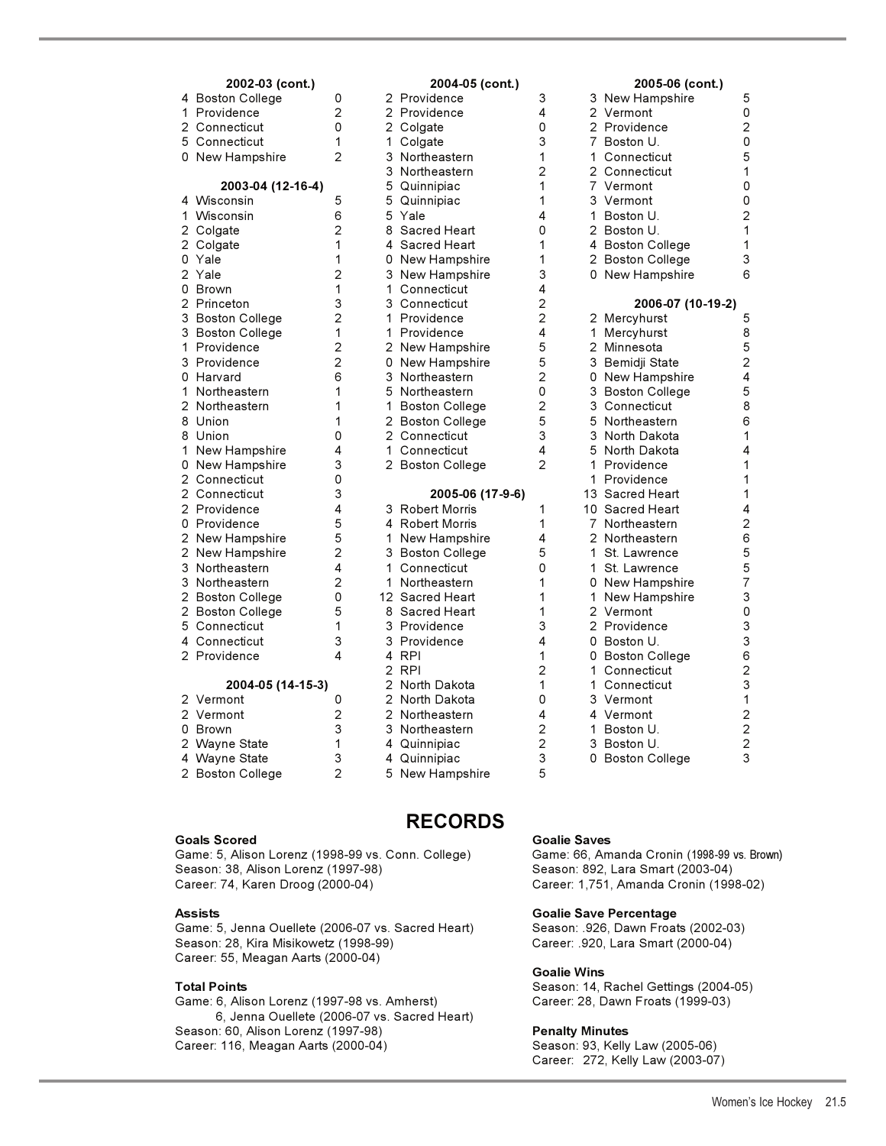| 2002-03 (cont.)   |                |    | 2004-05 (cont.)       |                |    | 2005-06 (cont.)       |                |
|-------------------|----------------|----|-----------------------|----------------|----|-----------------------|----------------|
| 4 Boston College  | 0              |    | 2 Providence          | 3              |    | 3 New Hampshire       | 5              |
| 1 Providence      | 2              |    | 2 Providence          | 4              |    | 2 Vermont             | 0              |
| 2 Connecticut     | 0              |    | 2 Colgate             | 0              |    | 2 Providence          | $\overline{c}$ |
| 5 Connecticut     | 1              | 1  | Colgate               | 3              |    | 7 Boston U.           | $\mathbf 0$    |
| 0 New Hampshire   | $\mathfrak{p}$ |    | 3 Northeastern        | 1              |    | 1 Connecticut         | 5              |
|                   |                | 3  | Northeastern          | $\overline{c}$ |    | 2 Connecticut         | $\mathbf 1$    |
| 2003-04 (12-16-4) |                | 5  | Quinnipiac            | 1              |    | 7 Vermont             | $\mathbf 0$    |
| 4 Wisconsin       | 5              | 5  | Quinnipiac            | 1              |    | 3 Vermont             | $\mathbf 0$    |
| 1<br>Wisconsin    | 6              |    | 5 Yale                | 4              |    | 1 Boston U.           | $\overline{2}$ |
| 2 Colgate         | $\overline{2}$ |    | 8 Sacred Heart        | 0              |    | 2 Boston U.           | $\mathbf{1}$   |
| 2 Colgate         | 1              | 4  | Sacred Heart          | 1              |    | 4 Boston College      | $\mathbf{1}$   |
| 0 Yale            | 1              |    | 0 New Hampshire       | 1              |    | 2 Boston College      | 3              |
| 2 Yale            | 2              | 3  | New Hampshire         | 3              |    | 0 New Hampshire       | 6              |
| 0 Brown           | 1              | 1  | Connecticut           | 4              |    |                       |                |
| 2 Princeton       | 3              | 3  | Connecticut           | $\overline{c}$ |    | 2006-07 (10-19-2)     |                |
| 3 Boston College  | $\overline{2}$ |    | 1 Providence          | $\overline{2}$ |    | 2 Mercyhurst          | 5              |
| 3 Boston College  | 1              | 1. | Providence            | 4              | 1  | Mercyhurst            | 8              |
| 1 Providence      | 2              |    | 2 New Hampshire       | 5              |    | 2 Minnesota           | 5              |
| 3 Providence      | 2              |    | 0 New Hampshire       | 5              |    | 3 Bemidji State       | $\overline{c}$ |
| 0 Harvard         | 6              |    | 3 Northeastern        | $\overline{2}$ |    | 0 New Hampshire       | 4              |
| 1 Northeastern    | 1              |    | 5 Northeastern        | 0              | 3  | <b>Boston College</b> | 5              |
| 2 Northeastern    | 1              | 1  | <b>Boston College</b> | $\overline{c}$ |    | 3 Connecticut         | 8              |
| 8 Union           | 1              |    | 2 Boston College      | 5              |    | 5 Northeastern        | 6              |
| 8 Union           | 0              |    | 2 Connecticut         | 3              |    | 3 North Dakota        | $\mathbf{1}$   |
| 1 New Hampshire   | 4              | 1  | Connecticut           | 4              |    | 5 North Dakota        | 4              |
| 0 New Hampshire   | 3              |    | 2 Boston College      | $\overline{2}$ | 1. | Providence            | 1              |
| 2 Connecticut     | 0              |    |                       |                |    | 1 Providence          | 1              |
| 2 Connecticut     | 3              |    | 2005-06 (17-9-6)      |                |    | 13 Sacred Heart       | $\mathbf 1$    |
| 2 Providence      | 4              |    | 3 Robert Morris       | 1              |    | 10 Sacred Heart       | 4              |
| 0 Providence      | 5              |    | 4 Robert Morris       | 1              |    | 7 Northeastern        | $\overline{c}$ |
| 2 New Hampshire   | 5              | 1  | New Hampshire         | 4              |    | 2 Northeastern        | 6              |
| 2 New Hampshire   | 2              |    | 3 Boston College      | 5              |    | 1 St. Lawrence        | 5              |
| 3 Northeastern    | 4              | 1  | Connecticut           | $\Omega$       | 1. | St. Lawrence          | 5              |
| 3 Northeastern    | $\overline{2}$ | 1  | Northeastern          | 1              |    | 0 New Hampshire       | $\overline{7}$ |
| 2 Boston College  | 0              |    | 12 Sacred Heart       | 1              |    | 1 New Hampshire       | 3              |
| 2 Boston College  | 5              |    | 8 Sacred Heart        | 1              |    | 2 Vermont             | $\mathbf 0$    |
| 5 Connecticut     | 1              |    | 3 Providence          | 3              |    | 2 Providence          | 3              |
| 4 Connecticut     | 3              | 3  | Providence            | 4              |    | 0 Boston U.           | 3              |
| 2 Providence      | 4              |    | 4 RPI                 | 1              |    | 0 Boston College      | 6              |
|                   |                |    | 2 RPI                 | $\overline{2}$ | 1. | Connecticut           | $\overline{c}$ |
| 2004-05 (14-15-3) |                |    | 2 North Dakota        | 1              |    | 1 Connecticut         | 3              |
| 2 Vermont         | 0              |    | 2 North Dakota        | 0              |    | 3 Vermont             | $\mathbf{1}$   |
| 2 Vermont         | 2              |    | 2 Northeastern        | 4              |    | 4 Vermont             | $\overline{c}$ |
| 0 Brown           | 3              | 3  | Northeastern          | $\overline{c}$ |    | 1 Boston U.           | $\overline{c}$ |
| 2 Wayne State     | 1              | 4  | Quinnipiac            | $\overline{c}$ |    | 3 Boston U.           | $\overline{c}$ |
| 4 Wayne State     | 3              | 4  | Quinnipiac            | 3              |    | 0 Boston College      | 3              |
| 2 Boston College  | $\overline{2}$ | 5  | New Hampshire         | 5              |    |                       |                |

# **2002-03 (cont.) 2004-05 (cont.) 2005-06 (cont.)** 4 Boston College 0 2 Providence 3 3 New Hampshire 5 nce 14 2 Vermont ac 1 3 Vermont 1 1 Stern 1 1 5 Northeastern 1 5 Northeastern 1 Steven 2 3 Northeastern 2 3 Connecticut<br>1 3 Connecticut

**RECORDS** 

## 2 Connecticut 0 2 Colgate 0 2 Providence 2 7 Boston U.

## **Goals Scored Goalie Saves**

Game: 5, Alison Lorenz (1998-99 vs. Conn. College) Game: 66, Amanda Cronin (1998-99 vs. Brown) Season: 38, Alison Lorenz (1997-98) Season: 892, Lara Smart (2003-04) Career: 74, Karen Droog (2000-04) Career: 1,751, Amanda Cronin (1998-02)

Game: 5, Jenna Ouellete (2006-07 vs. Sacred Heart) Season: .926, Dawn Froats (2002-03) Season: 28, Kira Misikowetz (1998-99) Career: .920, Lara Smart (2000-04) Career: 55, Meagan Aarts (2000-04)

Game: 6, Alison Lorenz (1997-98 vs. Amherst) Career: 28, Dawn Froats (1999-03) 6, Jenna Ouellete (2006-07 vs. Sacred Heart) Season: 60, Alison Lorenz (1997-98) **Penalty Minutes**  Career: 116, Meagan Aarts (2000-04) Season: 93, Kelly Law (2005-06)

## **Assists Goalie Save Percentage**

## **Goalie Wins**

**Total Points Season: 14, Rachel Gettings (2004-05)** Season: 14, Rachel Gettings (2004-05)

Career: 272, Kelly Law (2003-07)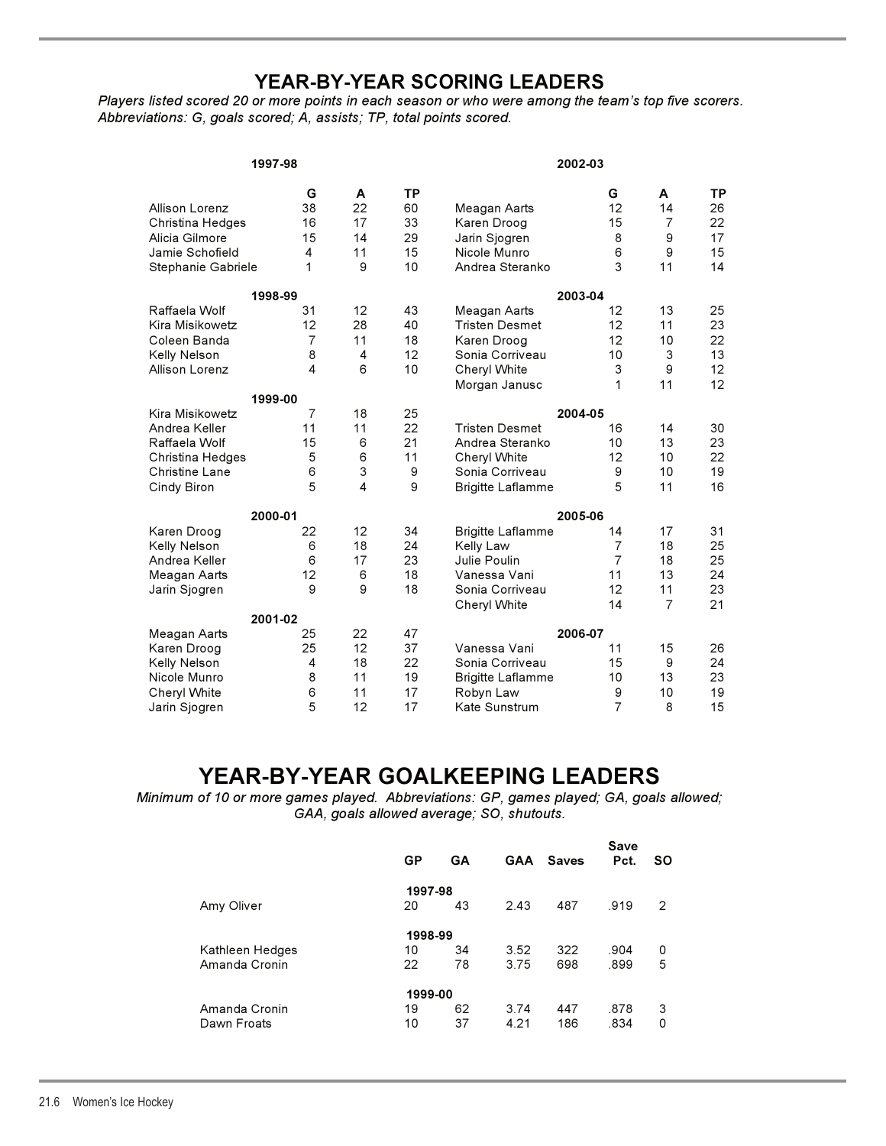# **YEAR-BY-YEAR SCORING LEADERS**

*Players listed scored 20 or more points in each season or who were among the team's top five scorers. Abbreviations: G, goals scored; A, assists; TP, total points scored.*

|                              | 1997-98                 |                         |           | 2002-03                  |                     |                |                 |  |
|------------------------------|-------------------------|-------------------------|-----------|--------------------------|---------------------|----------------|-----------------|--|
|                              | G                       | A                       | <b>TP</b> |                          | G                   | A              | <b>TP</b>       |  |
| Allison Lorenz               | 38                      | 22                      | 60        | Meagan Aarts             | 12                  | 14             | 26              |  |
| Christina Hedges             | 16                      | 17                      | 33        | Karen Droog              | 15                  | $\overline{7}$ | 22              |  |
| Alicia Gilmore               | 15                      | 14                      | 29        | Jarin Sjogren            | 8                   | 9              | 17              |  |
| Jamie Schofield              | 4                       | 11                      | 15        | Nicole Munro             | 6                   | 9              | 15              |  |
| Stephanie Gabriele           | 1                       | 9                       | 10        | Andrea Steranko          | 3                   | 11             | 14              |  |
|                              | 1998-99                 |                         |           |                          | 2003-04             |                |                 |  |
| Raffaela Wolf                | 31                      | 12                      | 43        | Meagan Aarts             | 12                  | 13             | 25              |  |
| Kira Misikowetz              | 12                      | 28                      | 40        | <b>Tristen Desmet</b>    | 12                  | 11             | 23              |  |
| Coleen Banda                 | 7                       | 11                      | 18        | Karen Droog              | 12                  | 10             | 22              |  |
| Kelly Nelson                 | 8                       | $\overline{\mathbf{4}}$ | 12        | Sonia Corriveau          | 10                  | 3              | 13              |  |
| Allison Lorenz               | $\overline{\mathbf{A}}$ | 6                       | 10        | Cheryl White             | 3                   | 9              | 12              |  |
|                              |                         |                         |           | Morgan Janusc            | 1                   | 11             | 12 <sup>2</sup> |  |
|                              | 1999-00                 |                         |           |                          |                     |                |                 |  |
| Kira Misikowetz              | $\overline{7}$          | 18                      | 25        |                          | 2004-05             |                |                 |  |
| Andrea Keller                | 11                      | 11                      | 22        | <b>Tristen Desmet</b>    | 16                  | 14             | 30              |  |
| Raffaela Wolf                | 15                      | 6                       | 21        | Andrea Steranko          | 10                  | 13             | 23              |  |
| Christina Hedges             | 5                       | 6                       | 11        | Cheryl White             | 12                  | 10             | 22              |  |
| <b>Christine Lane</b>        | 6                       | 3                       | 9         | Sonia Corriveau          | 9                   | 10             | 19              |  |
| Cindy Biron                  | 5                       | 4                       | 9         | <b>Brigitte Laflamme</b> | 5                   | 11             | 16              |  |
|                              | 2000-01                 |                         |           |                          | 2005-06             |                |                 |  |
| Karen Droog                  | 22                      | 12                      | 34        | <b>Brigitte Laflamme</b> | 14                  | 17             | 31              |  |
| Kelly Nelson                 | 6                       | 18                      | 24        | Kelly Law                | 7                   | 18             | 25              |  |
| Andrea Keller                | 6                       | 17                      | 23        | Julie Poulin             | $\overline{7}$      | 18             | 25              |  |
| Meagan Aarts                 | 12                      | 6                       | 18        | Vanessa Vani             | 11                  | 13             | 24              |  |
| Jarin Sjogren                | 9                       | 9                       | 18        | Sonia Corriveau          | 12                  | 11             | 23              |  |
|                              | 2001-02                 |                         |           | Cheryl White             | 14                  | $\overline{7}$ | 21              |  |
|                              |                         | 22                      | 47        |                          | 2006-07             |                |                 |  |
| Meagan Aarts                 | 25                      | 12                      | 37        | Vanessa Vani             | 11                  | 15             |                 |  |
| Karen Droog                  | 25<br>4                 | 18                      | 22        | Sonia Corriveau          | 15                  | 9              | 26<br>24        |  |
| Kelly Nelson<br>Nicole Munro | 8                       | 11                      | 19        |                          | 10                  | 13             | 23              |  |
|                              |                         | 11                      | 17        | <b>Brigitte Laflamme</b> |                     | 10             | 19              |  |
| Cheryl White                 | 6<br>5                  | 12                      | 17        | Robyn Law                | 9<br>$\overline{7}$ | 8              | 15              |  |
| Jarin Sjogren                |                         |                         |           | Kate Sunstrum            |                     |                |                 |  |

# **YEAR-BY-YEAR GOALKEEPING LEADERS**

*Minimum of 10 or more games played. Abbreviations: GP, games played; GA, goals allowed; GAA, goals allowed average; SO, shutouts.*

|                 | <b>GP</b> | GA |      | <b>GAA Saves</b> | Save<br>Pct. | <b>SO</b> |
|-----------------|-----------|----|------|------------------|--------------|-----------|
|                 | 1997-98   |    |      |                  |              |           |
| Amy Oliver      | 20        | 43 | 2.43 | 487              | .919         | 2         |
|                 | 1998-99   |    |      |                  |              |           |
| Kathleen Hedges | 10        | 34 | 3.52 | 322              | .904         | 0         |
| Amanda Cronin   | 22        | 78 | 3.75 | 698              | .899         | 5         |
|                 | 1999-00   |    |      |                  |              |           |
| Amanda Cronin   | 19        | 62 | 3.74 | 447              | .878         | 3         |
| Dawn Froats     | 10        | 37 | 4.21 | 186              | .834         | 0         |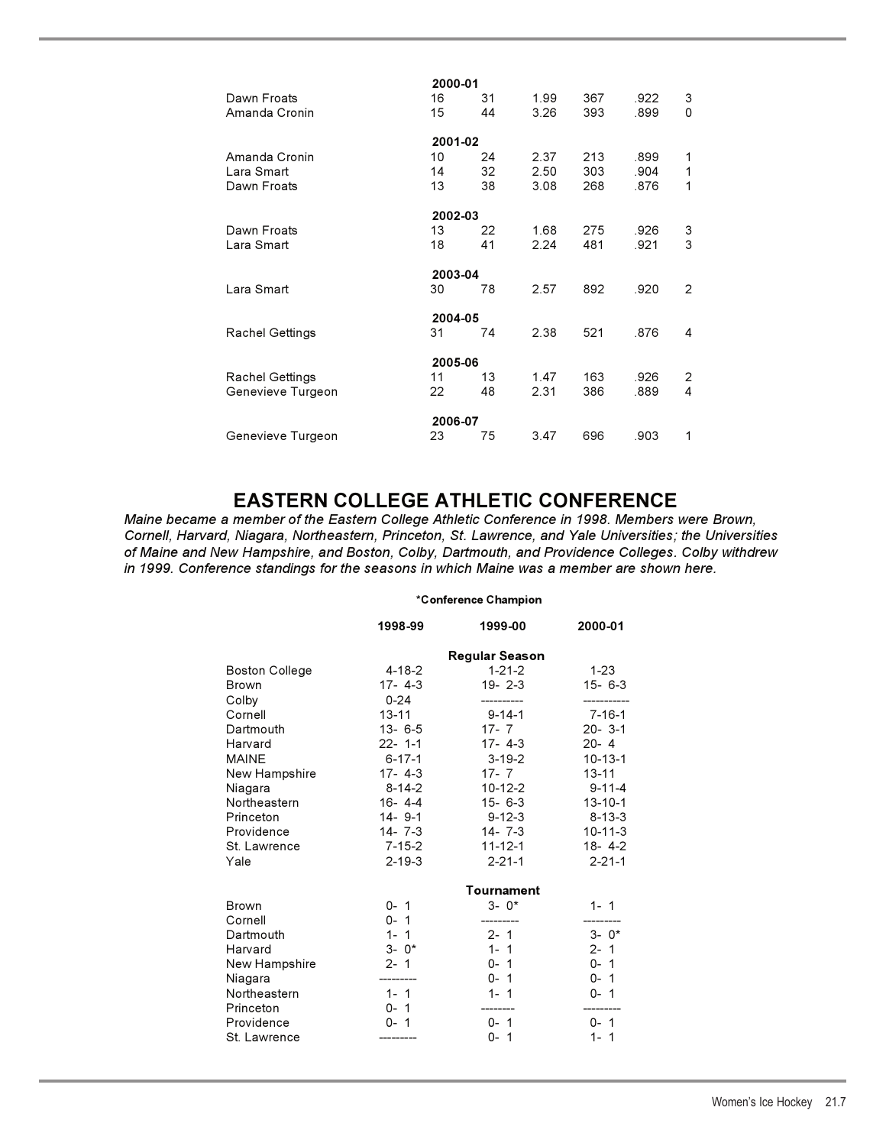|                   | 2000-01 |    |      |     |      |   |
|-------------------|---------|----|------|-----|------|---|
| Dawn Froats       | 16      | 31 | 1.99 | 367 | .922 | 3 |
| Amanda Cronin     | 15      | 44 | 3.26 | 393 | .899 | 0 |
|                   | 2001-02 |    |      |     |      |   |
| Amanda Cronin     | 10      | 24 | 2.37 | 213 | .899 | 1 |
| Lara Smart        | 14      | 32 | 2.50 | 303 | .904 | 1 |
| Dawn Froats       | 13      | 38 | 3.08 | 268 | .876 | 1 |
|                   | 2002-03 |    |      |     |      |   |
| Dawn Froats       | 13      | 22 | 1.68 | 275 | .926 | 3 |
| Lara Smart        | 18      | 41 | 2.24 | 481 | .921 | 3 |
|                   | 2003-04 |    |      |     |      |   |
| Lara Smart        | 30      | 78 | 2.57 | 892 | .920 | 2 |
|                   | 2004-05 |    |      |     |      |   |
| Rachel Gettings   | 31      | 74 | 2.38 | 521 | .876 | 4 |
|                   | 2005-06 |    |      |     |      |   |
| Rachel Gettings   | 11      | 13 | 1.47 | 163 | .926 | 2 |
| Genevieve Turgeon | 22      | 48 | 2.31 | 386 | .889 | 4 |
|                   | 2006-07 |    |      |     |      |   |
| Genevieve Turgeon | 23      | 75 | 3.47 | 696 | .903 | 1 |
|                   |         |    |      |     |      |   |

**EASTERN COLLEGE ATHLETIC CONFERENCE** *Maine became a member of the Eastern College Athletic Conference in 1998. Members were Brown, Cornell, Harvard, Niagara, Northeastern, Princeton, St. Lawrence, and Yale Universities; the Universities of Maine and New Hampshire, and Boston, Colby, Dartmouth, and Providence Colleges. Colby withdrew in 1999. Conference standings for the seasons in which Maine was a member are shown here.*

## **\*Conference Champion**

|                       | 1998-99      | 1999-00               | 2000-01       |
|-----------------------|--------------|-----------------------|---------------|
|                       |              | <b>Regular Season</b> |               |
| <b>Boston College</b> | $4 - 18 - 2$ | $1 - 21 - 2$          | 1-23          |
| <b>Brown</b>          | 17-4-3       | 19 - 2 - 3            | $15 - 6 - 3$  |
| Colby                 | $0 - 24$     |                       |               |
| Cornell               | $13 - 11$    | $9 - 14 - 1$          | $7 - 16 - 1$  |
| Dartmouth             | 13-6-5       | $17 - 7$              | $20 - 3 - 1$  |
| Harvard               | $22 - 1 - 1$ | 17-4-3                | $20 - 4$      |
| <b>MAINE</b>          | $6 - 17 - 1$ | $3 - 19 - 2$          | $10 - 13 - 1$ |
| New Hampshire         | $17 - 4 - 3$ | $17 - 7$              | $13 - 11$     |
| Niagara               | $8 - 14 - 2$ | 10-12-2               | $9 - 11 - 4$  |
| Northeastern          | $16 - 4 - 4$ | $15 - 6 - 3$          | $13 - 10 - 1$ |
| Princeton             | 14-9-1       | $9 - 12 - 3$          | $8 - 13 - 3$  |
| Providence            | 14-7--3      | 14-7--3               | $10 - 11 - 3$ |
| St. Lawrence          | $7 - 15 - 2$ | 11-12-1               | $18 - 4 - 2$  |
| Yale                  | $2 - 19 - 3$ | $2 - 21 - 1$          | $2 - 21 - 1$  |
|                       |              | Tournament            |               |
| <b>Brown</b>          | $0 - 1$      | $3 - 0*$              | $1 - 1$       |
| Cornell               | $0 - 1$      |                       |               |
| Dartmouth             | $1 - 1$      | $2 - 1$               | $3 - 0*$      |
| Harvard               | $3 - 0*$     | $1 - 1$               | $2 - 1$       |
| New Hampshire         | $2 - 1$      | $0 - 1$               | $0 - 1$       |
| Niagara               |              | $0 - 1$               | $0 - 1$       |
| Northeastern          | $1 - 1$      | $1 - 1$               | $0 - 1$       |
| Princeton             | $0 - 1$      |                       |               |
| Providence            | $0 - 1$      | $0 - 1$               | $0 - 1$       |
| St. Lawrence          |              | $0 - 1$               | $1 - 1$       |